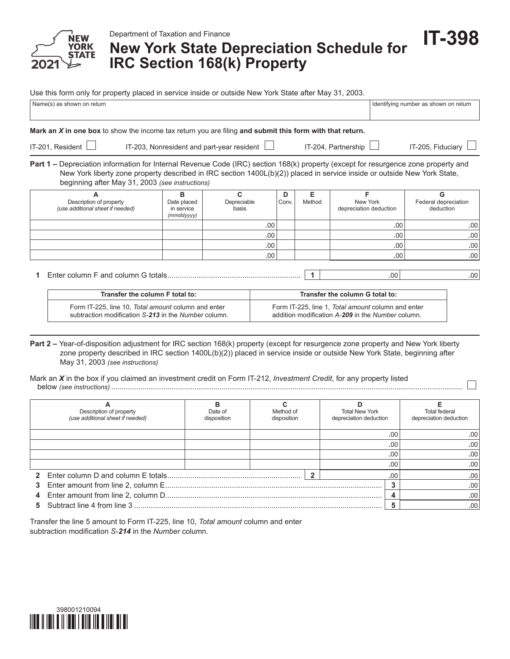

Department of Taxation and Finance

# **New York State Depreciation Schedule for IRC Section 168(k) Property**

**IT-398**

Use this form only for property placed in service inside or outside New York State after May 31, 2003.

| Part 1 – Depreciation information for Internal Revenue Code (IRC) section 168(k) property (except for resurgence zone property and<br>New York liberty zone property described in IRC section 1400L(b)(2)) placed in service inside or outside New York State,<br>beginning after May 31, 2003 (see instructions)                                                                                                      |                                                    |                           |     |            |                                                                                                         |                                         |                                        |  |
|------------------------------------------------------------------------------------------------------------------------------------------------------------------------------------------------------------------------------------------------------------------------------------------------------------------------------------------------------------------------------------------------------------------------|----------------------------------------------------|---------------------------|-----|------------|---------------------------------------------------------------------------------------------------------|-----------------------------------------|----------------------------------------|--|
| A<br>Description of property<br>(use additional sheet if needed)                                                                                                                                                                                                                                                                                                                                                       | в<br>Date placed<br>in service<br>$(mm$ ddyyyy $)$ | C<br>Depreciable<br>basis |     | D<br>Conv. | Е<br>Method                                                                                             | F<br>New York<br>depreciation deduction | G<br>Federal depreciation<br>deduction |  |
|                                                                                                                                                                                                                                                                                                                                                                                                                        |                                                    |                           | .00 |            |                                                                                                         | .00                                     | .00                                    |  |
|                                                                                                                                                                                                                                                                                                                                                                                                                        |                                                    |                           | .00 |            |                                                                                                         | .00                                     | .00                                    |  |
|                                                                                                                                                                                                                                                                                                                                                                                                                        |                                                    |                           | .00 |            |                                                                                                         | .00                                     | .00                                    |  |
|                                                                                                                                                                                                                                                                                                                                                                                                                        |                                                    |                           | .00 |            |                                                                                                         | .00                                     | .00                                    |  |
|                                                                                                                                                                                                                                                                                                                                                                                                                        |                                                    |                           |     |            | 1                                                                                                       | .00                                     | .00                                    |  |
| Transfer the column F total to:                                                                                                                                                                                                                                                                                                                                                                                        | Transfer the column G total to:                    |                           |     |            |                                                                                                         |                                         |                                        |  |
| Form IT-225, line 10, Total amount column and enter<br>subtraction modification S-213 in the Number column.                                                                                                                                                                                                                                                                                                            |                                                    |                           |     |            | Form IT-225, line 1, Total amount column and enter<br>addition modification A-209 in the Number column. |                                         |                                        |  |
| Part 2 - Year-of-disposition adjustment for IRC section 168(k) property (except for resurgence zone property and New York liberty<br>zone property described in IRC section 1400L(b)(2)) placed in service inside or outside New York State, beginning after<br>May 31, 2003 (see instructions)<br>Mark an X in the box if you claimed an investment credit on Form IT-212, Investment Credit, for any property listed |                                                    |                           |     |            |                                                                                                         |                                         |                                        |  |
| $\mathbf{A}$                                                                                                                                                                                                                                                                                                                                                                                                           |                                                    | D                         |     | $\sim$     |                                                                                                         | n                                       | Е                                      |  |

| Description of property<br>(use additional sheet if needed) | Date of<br>disposition | Method of<br>disposition |  | <b>Total New York</b><br>depreciation deduction |     | <b>Total federal</b><br>depreciation deduction |
|-------------------------------------------------------------|------------------------|--------------------------|--|-------------------------------------------------|-----|------------------------------------------------|
|                                                             |                        |                          |  |                                                 | .00 | .00                                            |
|                                                             |                        |                          |  |                                                 | .00 | .00                                            |
|                                                             |                        |                          |  |                                                 | .00 | .00                                            |
|                                                             |                        |                          |  |                                                 | .00 | .00                                            |
|                                                             | .00                    | .00                      |  |                                                 |     |                                                |
|                                                             |                        | .00                      |  |                                                 |     |                                                |
|                                                             |                        | .00                      |  |                                                 |     |                                                |
|                                                             |                        |                          |  |                                                 |     | .00                                            |

Transfer the line 5 amount to Form IT-225, line 10, *Total amount* column and enter subtraction modification *S-214* in the *Number* column.